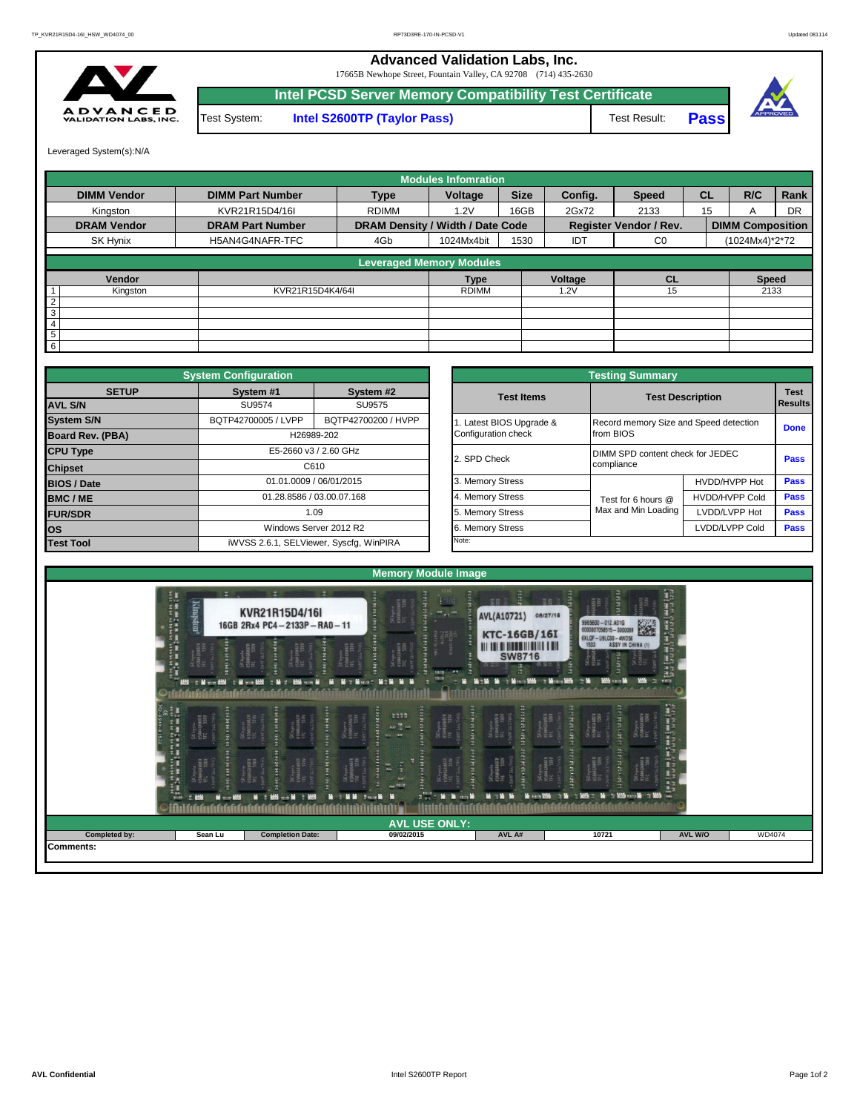**Advanced Validation Labs, Inc.** 

17665B Newhope Street, Fountain Valley, CA 92708 (714) 435-2630



Test System: **Intel S2600TP (Taylor Pass)** Test Result: **Intel PCSD Server Memory Compatibility Test Certificate Pass**



Leveraged System(s):N/A

|                    |                         |                                  | <b>Modules Infomration</b> |             |         |                               |           |                         |           |
|--------------------|-------------------------|----------------------------------|----------------------------|-------------|---------|-------------------------------|-----------|-------------------------|-----------|
| <b>DIMM Vendor</b> | <b>DIMM Part Number</b> | <b>Type</b>                      | Voltage                    | <b>Size</b> | Config. | <b>Speed</b>                  | <b>CL</b> | R/C                     | Rank      |
| Kingston           | KVR21R15D4/16I          | <b>RDIMM</b>                     | 1.2V                       | 16GB        | 2Gx72   | 2133                          | 15        |                         | <b>DR</b> |
| <b>DRAM Vendor</b> | <b>DRAM Part Number</b> | DRAM Density / Width / Date Code |                            |             |         | <b>Register Vendor / Rev.</b> |           | <b>DIMM Composition</b> |           |
| SK Hynix           | H5AN4G4NAFR-TFC         | 4Gb                              | 1024Mx4bit                 | 1530        | IDT     | C <sub>0</sub>                |           | (1024Mx4)*2*72          |           |
|                    |                         | <b>Leveraged Memory Modules</b>  |                            |             |         |                               |           |                         |           |
|                    |                         |                                  |                            |             |         |                               |           |                         |           |
| Vendor             |                         |                                  | <b>Type</b>                |             | Voltage | CL                            |           | <b>Speed</b>            |           |
| Kingston           | KVR21R15D4K4/64I        |                                  | <b>RDIMM</b>               |             | 1.2V    | 15                            |           | 2133                    |           |
| $\overline{2}$     |                         |                                  |                            |             |         |                               |           |                         |           |
| 3                  |                         |                                  |                            |             |         |                               |           |                         |           |
| 4                  |                         |                                  |                            |             |         |                               |           |                         |           |
| 5                  |                         |                                  |                            |             |         |                               |           |                         |           |
| 6                  |                         |                                  |                            |             |         |                               |           |                         |           |

|                    | <b>System Configuration</b> |                                         |                       | <b>Testing Summary</b>                 |                         |             |
|--------------------|-----------------------------|-----------------------------------------|-----------------------|----------------------------------------|-------------------------|-------------|
| <b>SETUP</b>       | System #1                   | System #2                               | <b>Test Items</b>     |                                        | <b>Test Description</b> | <b>Test</b> |
| <b>AVL S/N</b>     | SU9574                      | SU9575                                  |                       |                                        |                         | Results     |
| <b>System S/N</b>  | BQTP42700005 / LVPP         | BQTP42700200 / HVPP                     | Latest BIOS Upgrade & | Record memory Size and Speed detection |                         | <b>Done</b> |
| Board Rev. (PBA)   |                             | H26989-202                              | Configuration check   | from BIOS                              |                         |             |
| <b>CPU Type</b>    |                             | E5-2660 v3 / 2.60 GHz                   | 2. SPD Check          | DIMM SPD content check for JEDEC       |                         | Pass        |
| <b>Chipset</b>     |                             | C610                                    |                       | compliance                             |                         |             |
| <b>BIOS / Date</b> |                             | 01.01.0009 / 06/01/2015                 | 3. Memory Stress      |                                        | HVDD/HVPP Hot           | <b>Pass</b> |
| <b>BMC/ME</b>      |                             | 01.28.8586 / 03.00.07.168               | 4. Memory Stress      | Test for 6 hours @                     | <b>HVDD/HVPP Cold</b>   | <b>Pass</b> |
| <b>FUR/SDR</b>     |                             | 1.09                                    | 5. Memory Stress      | Max and Min Loading                    | LVDD/LVPP Hot           | <b>Pass</b> |
| <b>los</b>         |                             | Windows Server 2012 R2                  | 6. Memory Stress      |                                        | LVDD/LVPP Cold          | Pass        |
| <b>Test Tool</b>   |                             | iWVSS 2.6.1, SELViewer, Syscfq, WinPIRA | Note:                 |                                        |                         |             |

|              | <b>System Configuration</b> |                                         |                       | <b>Testing Summary</b>                 |                                  |                |  |  |  |
|--------------|-----------------------------|-----------------------------------------|-----------------------|----------------------------------------|----------------------------------|----------------|--|--|--|
| <b>SETUP</b> | System #1                   | System #2                               | <b>Test Items</b>     | <b>Test Description</b>                |                                  | <b>Test</b>    |  |  |  |
|              | SU9574                      | SU9575                                  |                       |                                        |                                  | <b>Results</b> |  |  |  |
|              | BQTP42700005 / LVPP         | BQTP42700200 / HVPP                     | Latest BIOS Upgrade & | Record memory Size and Speed detection |                                  | <b>Done</b>    |  |  |  |
| PBA)         |                             | H26989-202                              | Configuration check   | from BIOS                              |                                  |                |  |  |  |
|              |                             | E5-2660 v3 / 2.60 GHz                   | 2. SPD Check          |                                        | DIMM SPD content check for JEDEC |                |  |  |  |
|              | C610                        |                                         |                       | compliance                             |                                  |                |  |  |  |
|              |                             | 01.01.0009 / 06/01/2015                 | 3. Memory Stress      |                                        | HVDD/HVPP Hot                    | Pass           |  |  |  |
|              |                             | 01.28.8586 / 03.00.07.168               | 4. Memory Stress      | Test for 6 hours @                     | <b>HVDD/HVPP Cold</b>            | Pass           |  |  |  |
|              |                             | 1.09                                    | 5. Memory Stress      | Max and Min Loading                    | LVDD/LVPP Hot                    | Pass           |  |  |  |
|              | Windows Server 2012 R2      |                                         | 6. Memory Stress      |                                        | LVDD/LVPP Cold                   | Pass           |  |  |  |
|              |                             | iWVSS 2.6.1, SELViewer, Syscfq, WinPIRA | Note:                 |                                        |                                  |                |  |  |  |

| 三見<br>三星<br><b>Contract Contract</b><br>HHH<br><b>SW8716</b><br><b>North Moon Miller Street Miller Colle</b><br>$-$<br><b>ANY THE CONTROL OF MINIMUM CHECK CONTROL</b><br>м<br><b>IN S</b><br><b>March 19</b><br>SHORT STATE STATE STATE<br>$\frac{1111}{\omega \sum \omega}$<br><b>THEFT</b><br><b>TRENTIN</b><br>SK hynia<br>HSAMGAMAFA<br>TFC 530V<br>9 культар<br>15 живания<br>Æ<br><b>COM</b><br><b>CALIF</b><br><b>THEFT</b><br>I<br><b>TRANSPORT</b><br><b>Allen</b><br>実<br>$\sim$ target<br>the c<br>$\mathbf{z}^{\prime\prime} \mathbf{z}^{\prime\prime} = \mathbf{h} \cdot \mathbf{h} \cdot \mathbf{e} \mathbf{z} + \mathbf{h} \cdot \mathbf{e}$<br><b>March Moderning Co Mode</b><br>.<br><b>March 200</b><br><b>No. 2</b><br><b>STA</b><br><b>M</b> 1985 -- M 1985<br>第二篇第二 2008 第<br><b>M</b> = 200<br><b>COM</b> | man man sian<br>MM3 mm mm3 mm<br><b>Hingston</b> | KVR21R15D4/16I<br>16GB 2Rx4 PC4-2133P-RA0-11 | <b>TANK</b>          | ä<br>图言:<br><b>AVL(A10721)</b><br>08/27/16<br><b>KTC-16GB/16I</b> | 9965600 - 012.A01G<br>K.<br>0000007058515 - \$000088           | ilia<br>1<br>h |
|----------------------------------------------------------------------------------------------------------------------------------------------------------------------------------------------------------------------------------------------------------------------------------------------------------------------------------------------------------------------------------------------------------------------------------------------------------------------------------------------------------------------------------------------------------------------------------------------------------------------------------------------------------------------------------------------------------------------------------------------------------------------------------------------------------------------------------|--------------------------------------------------|----------------------------------------------|----------------------|-------------------------------------------------------------------|----------------------------------------------------------------|----------------|
|                                                                                                                                                                                                                                                                                                                                                                                                                                                                                                                                                                                                                                                                                                                                                                                                                                  |                                                  |                                              |                      |                                                                   | <b>SXLOF - USLC60 - 4WD56</b><br>1533 <b>ASSY IN CHINA</b> (1) |                |
|                                                                                                                                                                                                                                                                                                                                                                                                                                                                                                                                                                                                                                                                                                                                                                                                                                  |                                                  |                                              |                      |                                                                   |                                                                |                |
| 09/02/2015<br>Completed by:<br><b>Completion Date:</b><br>AVL A#<br>10721<br>AVL W/O<br>Sean Lu                                                                                                                                                                                                                                                                                                                                                                                                                                                                                                                                                                                                                                                                                                                                  |                                                  |                                              | <b>AVL USE ONLY:</b> |                                                                   |                                                                | <b>WD4074</b>  |